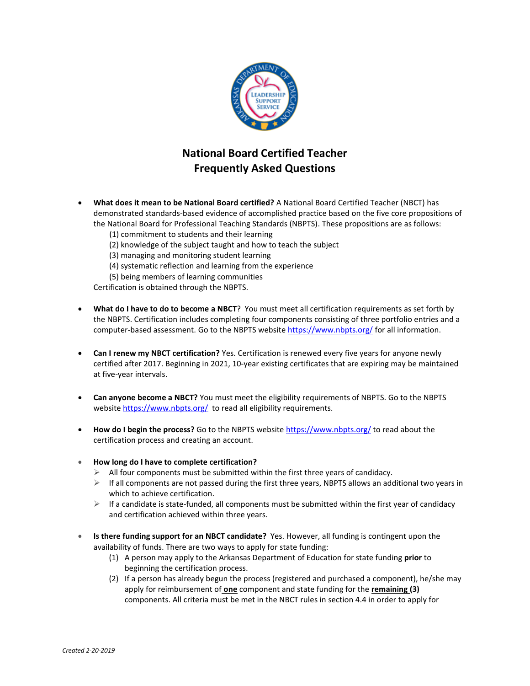

## **National Board Certified Teacher Frequently Asked Questions**

- **What does it mean to be National Board certified?** A National Board Certified Teacher (NBCT) has demonstrated standards-based evidence of accomplished practice based on the five core propositions of the National Board for Professional Teaching Standards (NBPTS). These propositions are as follows:
	- (1) commitment to students and their learning
	- (2) knowledge of the subject taught and how to teach the subject
	- (3) managing and monitoring student learning
	- (4) systematic reflection and learning from the experience
	- (5) being members of learning communities

Certification is obtained through the NBPTS.

- **What do I have to do to become a NBCT**? You must meet all certification requirements as set forth by the NBPTS. Certification includes completing four components consisting of three portfolio entries and a computer-based assessment. Go to the NBPTS websit[e https://www.nbpts.org/](https://www.nbpts.org/) for all information.
- **Can I renew my NBCT certification?** Yes. Certification is renewed every five years for anyone newly certified after 2017. Beginning in 2021, 10-year existing certificates that are expiring may be maintained at five-year intervals.
- **Can anyone become a NBCT?** You must meet the eligibility requirements of NBPTS. Go to the NBPTS website<https://www.nbpts.org/> to read all eligibility requirements.
- **How do I begin the process?** Go to the NBPTS websit[e https://www.nbpts.org/](https://www.nbpts.org/) to read about the certification process and creating an account.
- **How long do I have to complete certification?**
	- $\triangleright$  All four components must be submitted within the first three years of candidacy.
	- $\triangleright$  If all components are not passed during the first three years, NBPTS allows an additional two years in which to achieve certification.
	- $\triangleright$  If a candidate is state-funded, all components must be submitted within the first year of candidacy and certification achieved within three years.
- **Is there funding support for an NBCT candidate?** Yes. However, all funding is contingent upon the availability of funds. There are two ways to apply for state funding:
	- (1) A person may apply to the Arkansas Department of Education for state funding **prior** to beginning the certification process.
	- (2) If a person has already begun the process (registered and purchased a component), he/she may apply for reimbursement of **one** component and state funding for the **remaining (3)** components. All criteria must be met in the NBCT rules in section 4.4 in order to apply for